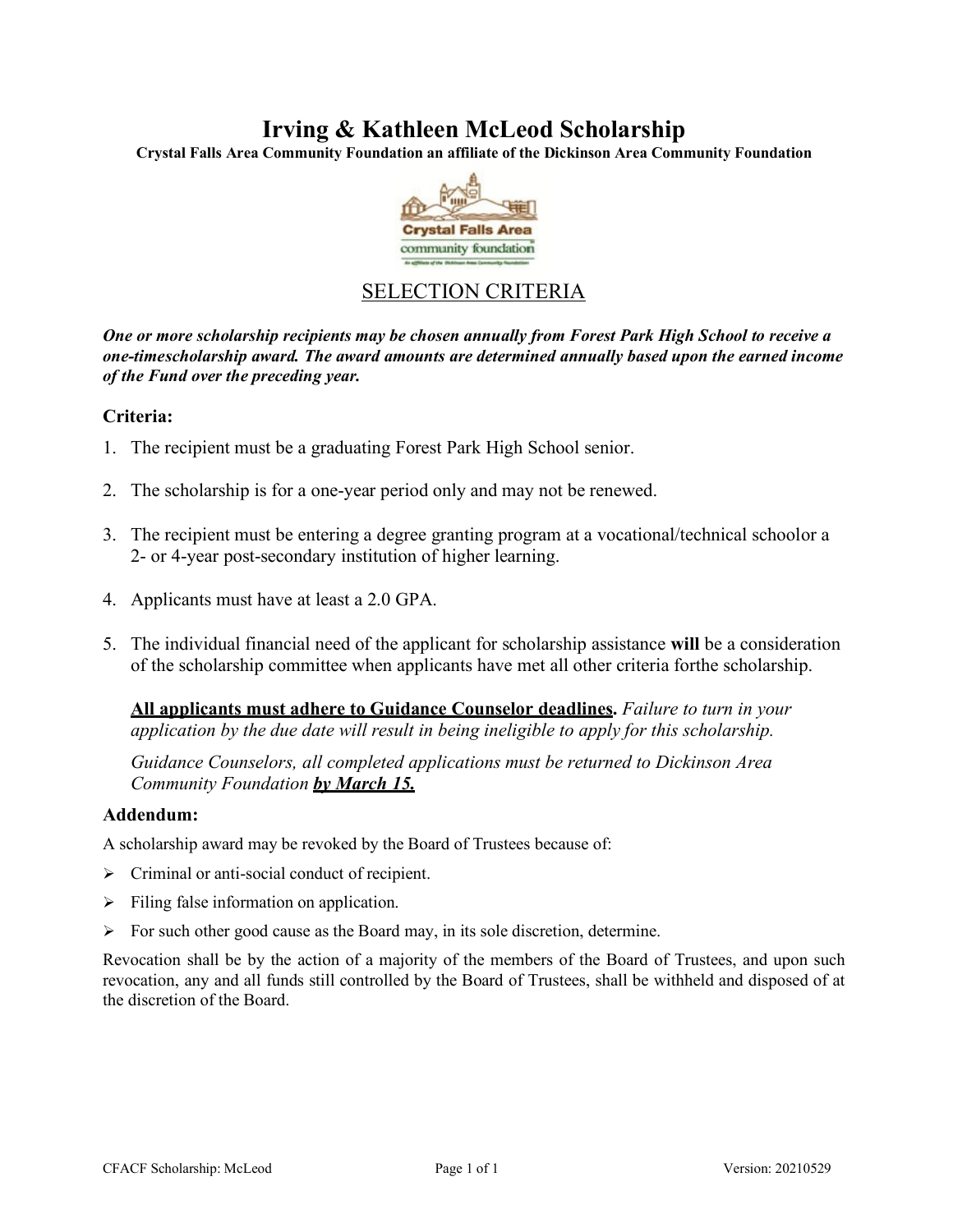## **Irving & Kathleen McLeod Scholarship**

**Crystal Falls Area Community Foundation an affiliate of the Dickinson Area Community Foundation**



### SELECTION CRITERIA

*One or more scholarship recipients may be chosen annually from Forest Park High School to receive a one-timescholarship award. The award amounts are determined annually based upon the earned income of the Fund over the preceding year.*

#### **Criteria:**

- 1. The recipient must be a graduating Forest Park High School senior.
- 2. The scholarship is for a one-year period only and may not be renewed.
- 3. The recipient must be entering a degree granting program at a vocational/technical schoolor a 2- or 4-year post-secondary institution of higher learning.
- 4. Applicants must have at least a 2.0 GPA.
- 5. The individual financial need of the applicant for scholarship assistance **will** be a consideration of the scholarship committee when applicants have met all other criteria forthe scholarship.

**All applicants must adhere to Guidance Counselor deadlines.** *Failure to turn in your application by the due date will result in being ineligible to apply for this scholarship.*

*Guidance Counselors, all completed applications must be returned to Dickinson Area Community Foundation by March 15.*

#### **Addendum:**

A scholarship award may be revoked by the Board of Trustees because of:

- > Criminal or anti-social conduct of recipient.
- $\triangleright$  Filing false information on application.
- $\triangleright$  For such other good cause as the Board may, in its sole discretion, determine.

Revocation shall be by the action of a majority of the members of the Board of Trustees, and upon such revocation, any and all funds still controlled by the Board of Trustees, shall be withheld and disposed of at the discretion of the Board.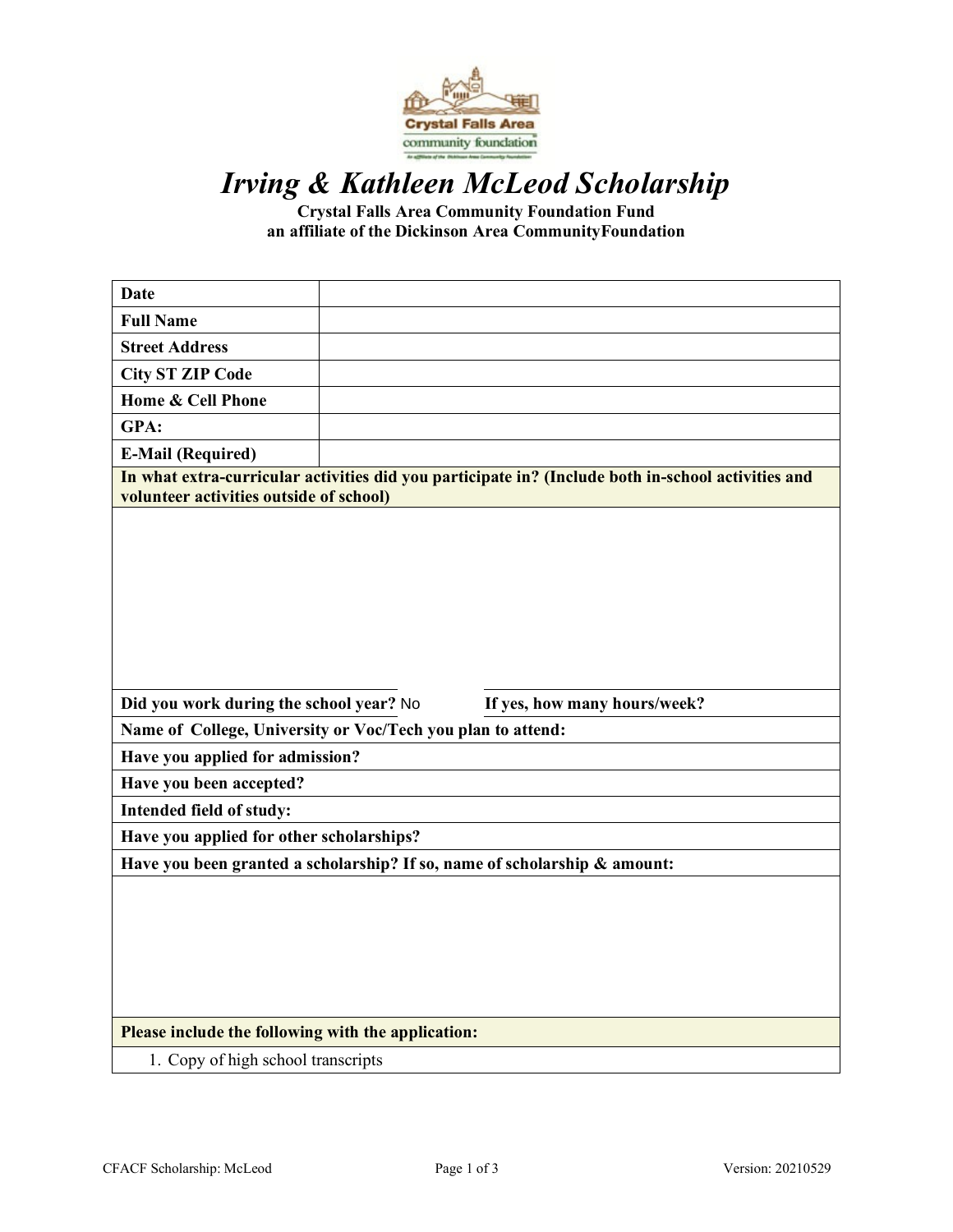

# *Irving & Kathleen McLeod Scholarship*

**Crystal Falls Area Community Foundation Fund an affiliate of the Dickinson Area CommunityFoundation**

| <b>Date</b>                                                                                                                                   |  |
|-----------------------------------------------------------------------------------------------------------------------------------------------|--|
| <b>Full Name</b>                                                                                                                              |  |
| <b>Street Address</b>                                                                                                                         |  |
| <b>City ST ZIP Code</b>                                                                                                                       |  |
| <b>Home &amp; Cell Phone</b>                                                                                                                  |  |
| GPA:                                                                                                                                          |  |
| <b>E-Mail (Required)</b>                                                                                                                      |  |
| In what extra-curricular activities did you participate in? (Include both in-school activities and<br>volunteer activities outside of school) |  |
|                                                                                                                                               |  |
| Did you work during the school year? No<br>If yes, how many hours/week?                                                                       |  |
| Name of College, University or Voc/Tech you plan to attend:                                                                                   |  |
| Have you applied for admission?                                                                                                               |  |
| Have you been accepted?                                                                                                                       |  |
| Intended field of study:                                                                                                                      |  |
| Have you applied for other scholarships?                                                                                                      |  |
| Have you been granted a scholarship? If so, name of scholarship & amount:                                                                     |  |
|                                                                                                                                               |  |
| Please include the following with the application:                                                                                            |  |
| 1. Copy of high school transcripts                                                                                                            |  |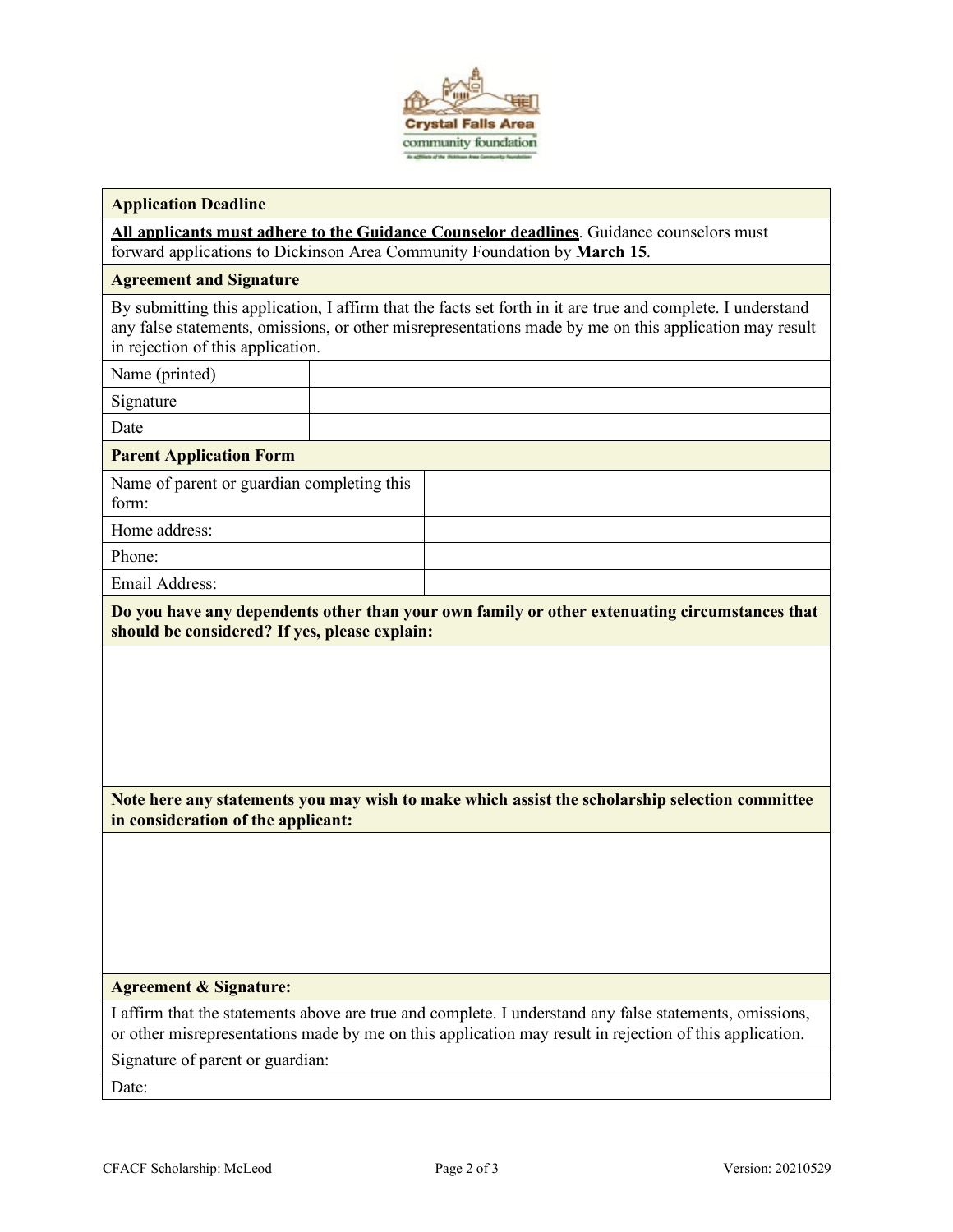

#### **Application Deadline**

**All applicants must adhere to the Guidance Counselor deadlines**. Guidance counselors must forward applications to Dickinson Area Community Foundation by **March 15**.

#### **Agreement and Signature**

By submitting this application, I affirm that the facts set forth in it are true and complete. I understand any false statements, omissions, or other misrepresentations made by me on this application may result in rejection of this application.

Name (printed)

Signature

Date

#### **Parent Application Form**

Name of parent or guardian completing this form: Home address:

Phone:

Email Address:

**Do you have any dependents other than your own family or other extenuating circumstances that should be considered? If yes, please explain:**

**Note here any statements you may wish to make which assist the scholarship selection committee in consideration of the applicant:**

#### **Agreement & Signature:**

I affirm that the statements above are true and complete. I understand any false statements, omissions, or other misrepresentations made by me on this application may result in rejection of this application.

Signature of parent or guardian:

Date: